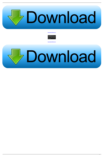

[Peugeot Planet PP2000 24.21 27](https://vigilant-kowalevski-288b19.netlify.app/Logic-Express-Download-For-Mac#SARIw=GqxzUfgBqbcDVv2z1vgu3idiXiJl0idiWadmYafu==)



[Peugeot Planet PP2000 24.21 27](https://vigilant-kowalevski-288b19.netlify.app/Logic-Express-Download-For-Mac#SARIw=GqxzUfgBqbcDVv2z1vgu3idiXiJl0idiWadmYafu==)